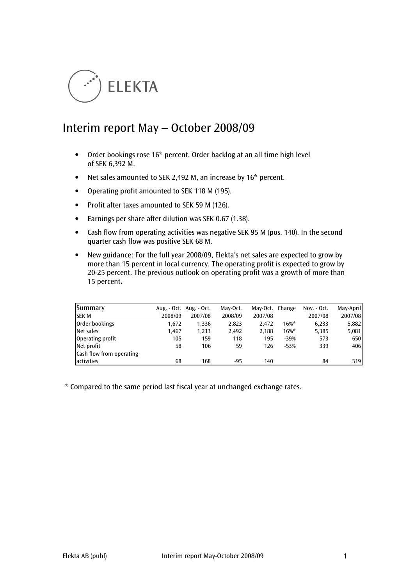

# Interim report May – October 2008/09

- Order bookings rose 16\* percent. Order backlog at an all time high level of SEK 6,392 M.
- Net sales amounted to SEK 2,492 M, an increase by 16<sup>\*</sup> percent.
- Operating profit amounted to SEK 118 M (195).
- Profit after taxes amounted to SEK 59 M (126).
- Earnings per share after dilution was SEK 0.67 (1.38).
- Cash flow from operating activities was negative SEK 95 M (pos. 140). In the second quarter cash flow was positive SEK 68 M.
- New guidance: For the full year 2008/09, Elekta's net sales are expected to grow by more than 15 percent in local currency. The operating profit is expected to grow by 20-25 percent. The previous outlook on operating profit was a growth of more than 15 percent.

| Summary                  |         | Aug. - Oct. Aug. - Oct. | Mav-Oct. | May-Oct. Change |          | Nov. - Oct. | May-April |
|--------------------------|---------|-------------------------|----------|-----------------|----------|-------------|-----------|
| <b>SEK M</b>             | 2008/09 | 2007/08                 | 2008/09  | 2007/08         |          | 2007/08     | 2007/08   |
| Order bookings           | 1.672   | 1,336                   | 2,823    | 2.472           | $16\%$ * | 6,233       | 5,882     |
| Net sales                | 1.467   | 1,213                   | 2.492    | 2.188           | $16\%$ * | 5,385       | 5,081     |
| Operating profit         | 105     | 159                     | 118      | 195             | $-39%$   | 573         | 650       |
| Net profit               | 58      | 106                     | 59       | 126             | $-53%$   | 339         | 406       |
| Cash flow from operating |         |                         |          |                 |          |             |           |
| activities               | 68      | 168                     | $-95$    | 140             |          | 84          | 319       |

\* Compared to the same period last fiscal year at unchanged exchange rates.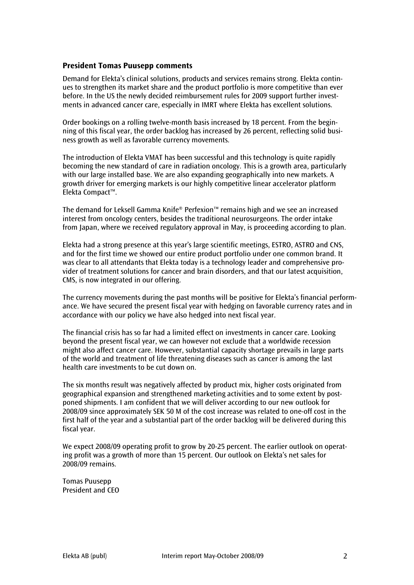## President Tomas Puusepp comments

Demand for Elekta's clinical solutions, products and services remains strong. Elekta continues to strengthen its market share and the product portfolio is more competitive than ever before. In the US the newly decided reimbursement rules for 2009 support further investments in advanced cancer care, especially in IMRT where Elekta has excellent solutions.

Order bookings on a rolling twelve-month basis increased by 18 percent. From the beginning of this fiscal year, the order backlog has increased by 26 percent, reflecting solid business growth as well as favorable currency movements.

The introduction of Elekta VMAT has been successful and this technology is quite rapidly becoming the new standard of care in radiation oncology. This is a growth area, particularly with our large installed base. We are also expanding geographically into new markets. A growth driver for emerging markets is our highly competitive linear accelerator platform Elekta Compact™.

The demand for Leksell Gamma Knife® Perfexion™ remains high and we see an increased interest from oncology centers, besides the traditional neurosurgeons. The order intake from Japan, where we received regulatory approval in May, is proceeding according to plan.

Elekta had a strong presence at this year's large scientific meetings, ESTRO, ASTRO and CNS, and for the first time we showed our entire product portfolio under one common brand. It was clear to all attendants that Elekta today is a technology leader and comprehensive provider of treatment solutions for cancer and brain disorders, and that our latest acquisition, CMS, is now integrated in our offering.

The currency movements during the past months will be positive for Elekta's financial performance. We have secured the present fiscal year with hedging on favorable currency rates and in accordance with our policy we have also hedged into next fiscal year.

The financial crisis has so far had a limited effect on investments in cancer care. Looking beyond the present fiscal year, we can however not exclude that a worldwide recession might also affect cancer care. However, substantial capacity shortage prevails in large parts of the world and treatment of life threatening diseases such as cancer is among the last health care investments to be cut down on.

The six months result was negatively affected by product mix, higher costs originated from geographical expansion and strengthened marketing activities and to some extent by postponed shipments. I am confident that we will deliver according to our new outlook for 2008/09 since approximately SEK 50 M of the cost increase was related to one-off cost in the first half of the year and a substantial part of the order backlog will be delivered during this fiscal year.

We expect 2008/09 operating profit to grow by 20-25 percent. The earlier outlook on operating profit was a growth of more than 15 percent. Our outlook on Elekta's net sales for 2008/09 remains.

Tomas Puusepp President and CEO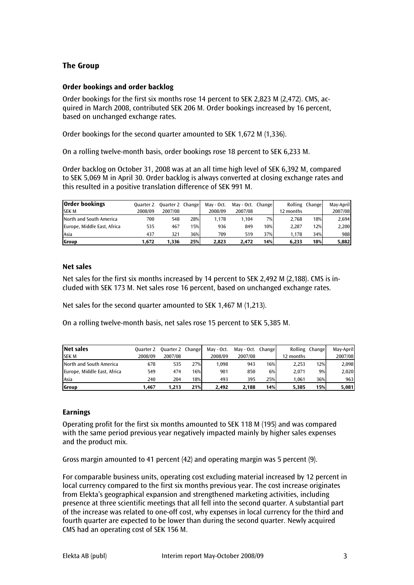# The Group

## Order bookings and order backlog

Order bookings for the first six months rose 14 percent to SEK 2,823 M (2,472). CMS, acquired in March 2008, contributed SEK 206 M. Order bookings increased by 16 percent, based on unchanged exchange rates.

Order bookings for the second quarter amounted to SEK 1,672 M (1,336).

On a rolling twelve-month basis, order bookings rose 18 percent to SEK 6,233 M.

Order backlog on October 31, 2008 was at an all time high level of SEK 6,392 M, compared to SEK 5,069 M in April 30. Order backlog is always converted at closing exchange rates and this resulted in a positive translation difference of SEK 991 M.

| <b>Order bookings</b>       | Ouarter 2 | Quarter 2 Change |     | May - Oct. | May - Oct. Change |     |           | Rolling Change | May-April |
|-----------------------------|-----------|------------------|-----|------------|-------------------|-----|-----------|----------------|-----------|
| <b>SEK M</b>                | 2008/09   | 2007/08          |     | 2008/09    | 2007/08           |     | 12 months |                | 2007/08   |
| North and South America     | 700       | 548              | 28% | 1.178      | 1.104             | 7%  | 2.768     | 18%            | 2.694     |
| Europe, Middle East, Africa | 535       | 467              | 15% | 936        | 849               | 10% | 2.287     | 12%            | 2,200     |
| Asia                        | 437       | 321              | 36% | 709        | 519               | 37% | 1.178     | 34%            | 988       |
| Group                       | 1.672     | 1.336            | 25% | 2.823      | 2.472             | 14% | 6.233     | 18%            | 5,882     |

## Net sales

Net sales for the first six months increased by 14 percent to SEK 2,492 M (2,188). CMS is included with SEK 173 M. Net sales rose 16 percent, based on unchanged exchange rates.

Net sales for the second quarter amounted to SEK 1,467 M (1,213).

On a rolling twelve-month basis, net sales rose 15 percent to SEK 5,385 M.

| Net sales                   | Ouarter 2 | <b>Quarter 2 Change</b> |     | May - Oct. | May - Oct. Changel |     |           | Rolling Change | May-April |
|-----------------------------|-----------|-------------------------|-----|------------|--------------------|-----|-----------|----------------|-----------|
| <b>SEK M</b>                | 2008/09   | 2007/08                 |     | 2008/09    | 2007/08            |     | 12 months |                | 2007/08   |
| North and South America     | 678       | 535                     | 27% | 1.098      | 943                | 16% | 2.253     | 12%            | 2,098     |
| Europe, Middle East, Africa | 549       | 474                     | 16% | 901        | 850                | 6%  | 2.071     | 9%             | 2,020     |
| Asia                        | 240       | 204                     | 18% | 493        | 395                | 25% | 1.061     | 36%            | 963       |
| Group                       | 1.467     | 1.213                   | 21% | 2.492      | 2.188              | 14% | 5.385     | 15%            | 5,081     |

## Earnings

Operating profit for the first six months amounted to SEK 118 M (195) and was compared with the same period previous year negatively impacted mainly by higher sales expenses and the product mix.

Gross margin amounted to 41 percent (42) and operating margin was 5 percent (9).

For comparable business units, operating cost excluding material increased by 12 percent in local currency compared to the first six months previous year. The cost increase originates from Elekta's geographical expansion and strengthened marketing activities, including presence at three scientific meetings that all fell into the second quarter. A substantial part of the increase was related to one-off cost, why expenses in local currency for the third and fourth quarter are expected to be lower than during the second quarter. Newly acquired CMS had an operating cost of SEK 156 M.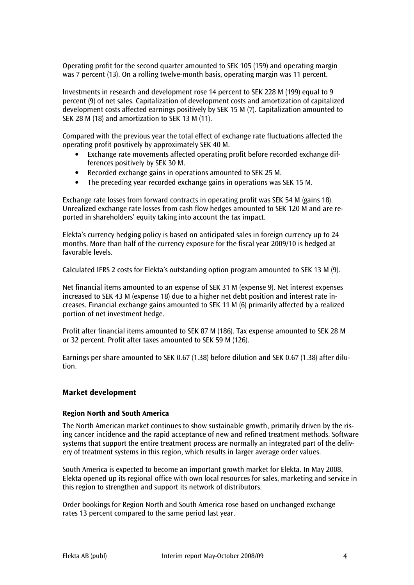Operating profit for the second quarter amounted to SEK 105 (159) and operating margin was 7 percent (13). On a rolling twelve-month basis, operating margin was 11 percent.

Investments in research and development rose 14 percent to SEK 228 M (199) equal to 9 percent (9) of net sales. Capitalization of development costs and amortization of capitalized development costs affected earnings positively by SEK 15 M (7). Capitalization amounted to SEK 28 M (18) and amortization to SEK 13 M (11).

Compared with the previous year the total effect of exchange rate fluctuations affected the operating profit positively by approximately SEK 40 M.

- Exchange rate movements affected operating profit before recorded exchange differences positively by SEK 30 M.
- Recorded exchange gains in operations amounted to SEK 25 M.
- The preceding year recorded exchange gains in operations was SEK 15 M.

Exchange rate losses from forward contracts in operating profit was SEK 54 M (gains 18). Unrealized exchange rate losses from cash flow hedges amounted to SEK 120 M and are reported in shareholders' equity taking into account the tax impact.

Elekta's currency hedging policy is based on anticipated sales in foreign currency up to 24 months. More than half of the currency exposure for the fiscal year 2009/10 is hedged at favorable levels.

Calculated IFRS 2 costs for Elekta's outstanding option program amounted to SEK 13 M (9).

Net financial items amounted to an expense of SEK 31 M (expense 9). Net interest expenses increased to SEK 43 M (expense 18) due to a higher net debt position and interest rate increases. Financial exchange gains amounted to SEK 11 M (6) primarily affected by a realized portion of net investment hedge.

Profit after financial items amounted to SEK 87 M (186). Tax expense amounted to SEK 28 M or 32 percent. Profit after taxes amounted to SEK 59 M (126).

Earnings per share amounted to SEK 0.67 (1.38) before dilution and SEK 0.67 (1.38) after dilution.

## Market development

## Region North and South America

The North American market continues to show sustainable growth, primarily driven by the rising cancer incidence and the rapid acceptance of new and refined treatment methods. Software systems that support the entire treatment process are normally an integrated part of the delivery of treatment systems in this region, which results in larger average order values.

South America is expected to become an important growth market for Elekta. In May 2008, Elekta opened up its regional office with own local resources for sales, marketing and service in this region to strengthen and support its network of distributors.

Order bookings for Region North and South America rose based on unchanged exchange rates 13 percent compared to the same period last year.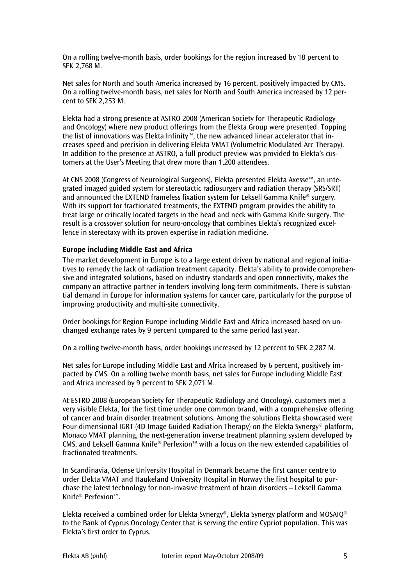On a rolling twelve-month basis, order bookings for the region increased by 18 percent to SEK 2,768 M.

Net sales for North and South America increased by 16 percent, positively impacted by CMS. On a rolling twelve-month basis, net sales for North and South America increased by 12 percent to SEK 2,253 M.

Elekta had a strong presence at ASTRO 2008 (American Society for Therapeutic Radiology and Oncology) where new product offerings from the Elekta Group were presented. Topping the list of innovations was Elekta Infinity™, the new advanced linear accelerator that increases speed and precision in delivering Elekta VMAT (Volumetric Modulated Arc Therapy). In addition to the presence at ASTRO, a full product preview was provided to Elekta's customers at the User's Meeting that drew more than 1,200 attendees.

At CNS 2008 (Congress of Neurological Surgeons), Elekta presented Elekta Axesse™, an integrated imaged guided system for stereotactic radiosurgery and radiation therapy (SRS/SRT) and announced the EXTEND frameless fixation system for Leksell Gamma Knife® surgery. With its support for fractionated treatments, the EXTEND program provides the ability to treat large or critically located targets in the head and neck with Gamma Knife surgery. The result is a crossover solution for neuro-oncology that combines Elekta's recognized excellence in stereotaxy with its proven expertise in radiation medicine.

## Europe including Middle East and Africa

The market development in Europe is to a large extent driven by national and regional initiatives to remedy the lack of radiation treatment capacity. Elekta's ability to provide comprehensive and integrated solutions, based on industry standards and open connectivity, makes the company an attractive partner in tenders involving long-term commitments. There is substantial demand in Europe for information systems for cancer care, particularly for the purpose of improving productivity and multi-site connectivity.

Order bookings for Region Europe including Middle East and Africa increased based on unchanged exchange rates by 9 percent compared to the same period last year.

On a rolling twelve-month basis, order bookings increased by 12 percent to SEK 2,287 M.

Net sales for Europe including Middle East and Africa increased by 6 percent, positively impacted by CMS. On a rolling twelve month basis, net sales for Europe including Middle East and Africa increased by 9 percent to SEK 2,071 M.

At ESTRO 2008 (European Society for Therapeutic Radiology and Oncology), customers met a very visible Elekta, for the first time under one common brand, with a comprehensive offering of cancer and brain disorder treatment solutions. Among the solutions Elekta showcased were Four-dimensional IGRT (4D Image Guided Radiation Therapy) on the Elekta Synergy® platform, Monaco VMAT planning, the next-generation inverse treatment planning system developed by CMS, and Leksell Gamma Knife® Perfexion™ with a focus on the new extended capabilities of fractionated treatments.

In Scandinavia, Odense University Hospital in Denmark became the first cancer centre to order Elekta VMAT and Haukeland University Hospital in Norway the first hospital to purchase the latest technology for non-invasive treatment of brain disorders – Leksell Gamma Knife® Perfexion™.

Elekta received a combined order for Elekta Synergy®, Elekta Synergy platform and MOSAIO<sup>®</sup> to the Bank of Cyprus Oncology Center that is serving the entire Cypriot population. This was Elekta's first order to Cyprus.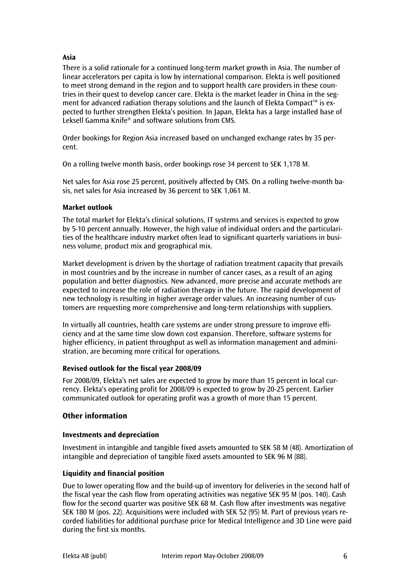## Asia

There is a solid rationale for a continued long-term market growth in Asia. The number of linear accelerators per capita is low by international comparison. Elekta is well positioned to meet strong demand in the region and to support health care providers in these countries in their quest to develop cancer care. Elekta is the market leader in China in the segment for advanced radiation therapy solutions and the launch of Elekta Compact™ is expected to further strengthen Elekta's position. In Japan, Elekta has a large installed base of Leksell Gamma Knife® and software solutions from CMS.

Order bookings for Region Asia increased based on unchanged exchange rates by 35 percent.

On a rolling twelve month basis, order bookings rose 34 percent to SEK 1,178 M.

Net sales for Asia rose 25 percent, positively affected by CMS. On a rolling twelve-month basis, net sales for Asia increased by 36 percent to SEK 1,061 M.

## Market outlook

The total market for Elekta's clinical solutions, IT systems and services is expected to grow by 5-10 percent annually. However, the high value of individual orders and the particularities of the healthcare industry market often lead to significant quarterly variations in business volume, product mix and geographical mix.

Market development is driven by the shortage of radiation treatment capacity that prevails in most countries and by the increase in number of cancer cases, as a result of an aging population and better diagnostics. New advanced, more precise and accurate methods are expected to increase the role of radiation therapy in the future. The rapid development of new technology is resulting in higher average order values. An increasing number of customers are requesting more comprehensive and long-term relationships with suppliers.

In virtually all countries, health care systems are under strong pressure to improve efficiency and at the same time slow down cost expansion. Therefore, software systems for higher efficiency, in patient throughput as well as information management and administration, are becoming more critical for operations.

## Revised outlook for the fiscal year 2008/09

For 2008/09, Elekta's net sales are expected to grow by more than 15 percent in local currency. Elekta's operating profit for 2008/09 is expected to grow by 20-25 percent. Earlier communicated outlook for operating profit was a growth of more than 15 percent.

## Other information

## Investments and depreciation

Investment in intangible and tangible fixed assets amounted to SEK 58 M (48). Amortization of intangible and depreciation of tangible fixed assets amounted to SEK 96 M (88).

## Liquidity and financial position

Due to lower operating flow and the build-up of inventory for deliveries in the second half of the fiscal year the cash flow from operating activities was negative SEK 95 M (pos. 140). Cash flow for the second quarter was positive SEK 68 M. Cash flow after investments was negative SEK 180 M (pos. 22). Acquisitions were included with SEK 52 (95) M. Part of previous years recorded liabilities for additional purchase price for Medical Intelligence and 3D Line were paid during the first six months.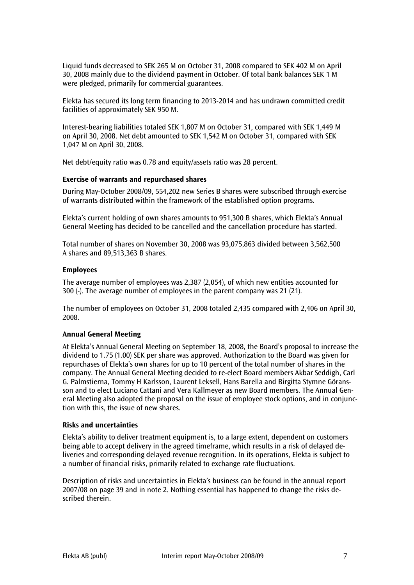Liquid funds decreased to SEK 265 M on October 31, 2008 compared to SEK 402 M on April 30, 2008 mainly due to the dividend payment in October. Of total bank balances SEK 1 M were pledged, primarily for commercial guarantees.

Elekta has secured its long term financing to 2013-2014 and has undrawn committed credit facilities of approximately SEK 950 M.

Interest-bearing liabilities totaled SEK 1,807 M on October 31, compared with SEK 1,449 M on April 30, 2008. Net debt amounted to SEK 1,542 M on October 31, compared with SEK 1,047 M on April 30, 2008.

Net debt/equity ratio was 0.78 and equity/assets ratio was 28 percent.

#### Exercise of warrants and repurchased shares

During May-October 2008/09, 554,202 new Series B shares were subscribed through exercise of warrants distributed within the framework of the established option programs.

Elekta's current holding of own shares amounts to 951,300 B shares, which Elekta's Annual General Meeting has decided to be cancelled and the cancellation procedure has started.

Total number of shares on November 30, 2008 was 93,075,863 divided between 3,562,500 A shares and 89,513,363 B shares.

#### Employees

The average number of employees was 2,387 (2,054), of which new entities accounted for 300 (-). The average number of employees in the parent company was 21 (21).

The number of employees on October 31, 2008 totaled 2,435 compared with 2,406 on April 30, 2008.

## Annual General Meeting

At Elekta's Annual General Meeting on September 18, 2008, the Board's proposal to increase the dividend to 1.75 (1.00) SEK per share was approved. Authorization to the Board was given for repurchases of Elekta's own shares for up to 10 percent of the total number of shares in the company. The Annual General Meeting decided to re-elect Board members Akbar Seddigh, Carl G. Palmstierna, Tommy H Karlsson, Laurent Leksell, Hans Barella and Birgitta Stymne Göransson and to elect Luciano Cattani and Vera Kallmeyer as new Board members. The Annual General Meeting also adopted the proposal on the issue of employee stock options, and in conjunction with this, the issue of new shares.

#### Risks and uncertainties

Elekta's ability to deliver treatment equipment is, to a large extent, dependent on customers being able to accept delivery in the agreed timeframe, which results in a risk of delayed deliveries and corresponding delayed revenue recognition. In its operations, Elekta is subject to a number of financial risks, primarily related to exchange rate fluctuations.

Description of risks and uncertainties in Elekta's business can be found in the annual report 2007/08 on page 39 and in note 2. Nothing essential has happened to change the risks described therein.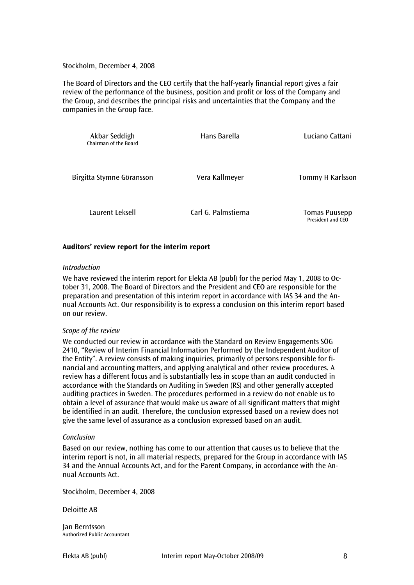Stockholm, December 4, 2008

The Board of Directors and the CEO certify that the half-yearly financial report gives a fair review of the performance of the business, position and profit or loss of the Company and the Group, and describes the principal risks and uncertainties that the Company and the companies in the Group face.

| Akbar Seddigh<br>Chairman of the Board | Hans Barella        | Luciano Cattani                           |  |  |
|----------------------------------------|---------------------|-------------------------------------------|--|--|
| Birgitta Stymne Göransson              | Vera Kallmeyer      | Tommy H Karlsson                          |  |  |
| Laurent Leksell                        | Carl G. Palmstierna | <b>Tomas Puusepp</b><br>President and CEO |  |  |

## Auditors' review report for the interim report

#### Introduction

We have reviewed the interim report for Elekta AB (publ) for the period May 1, 2008 to October 31, 2008. The Board of Directors and the President and CEO are responsible for the preparation and presentation of this interim report in accordance with IAS 34 and the Annual Accounts Act. Our responsibility is to express a conclusion on this interim report based on our review.

## Scope of the review

We conducted our review in accordance with the Standard on Review Engagements SÖG 2410, "Review of Interim Financial Information Performed by the Independent Auditor of the Entity". A review consists of making inquiries, primarily of persons responsible for financial and accounting matters, and applying analytical and other review procedures. A review has a different focus and is substantially less in scope than an audit conducted in accordance with the Standards on Auditing in Sweden (RS) and other generally accepted auditing practices in Sweden. The procedures performed in a review do not enable us to obtain a level of assurance that would make us aware of all significant matters that might be identified in an audit. Therefore, the conclusion expressed based on a review does not give the same level of assurance as a conclusion expressed based on an audit.

## Conclusion

Based on our review, nothing has come to our attention that causes us to believe that the interim report is not, in all material respects, prepared for the Group in accordance with IAS 34 and the Annual Accounts Act, and for the Parent Company, in accordance with the Annual Accounts Act.

Stockholm, December 4, 2008

#### Deloitte AB

Jan Berntsson Authorized Public Accountant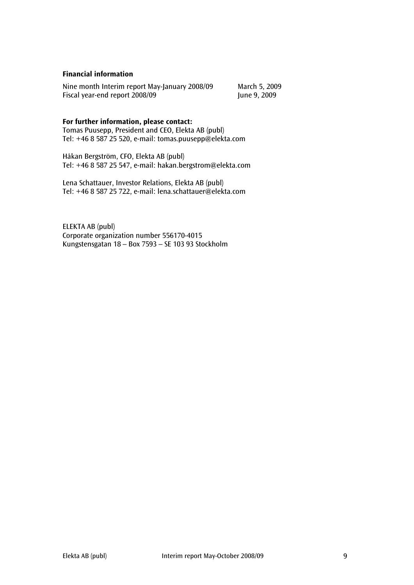## Financial information

Nine month Interim report May-January 2008/09 March 5, 2009<br>Fiscal year-end report 2008/09 June 9, 2009 Fiscal year-end report 2008/09

## For further information, please contact:

Tomas Puusepp, President and CEO, Elekta AB (publ) Tel: +46 8 587 25 520, e-mail: tomas.puusepp@elekta.com

Håkan Bergström, CFO, Elekta AB (publ) Tel: +46 8 587 25 547, e-mail: hakan.bergstrom@elekta.com

Lena Schattauer, Investor Relations, Elekta AB (publ) Tel: +46 8 587 25 722, e-mail: lena.schattauer@elekta.com

ELEKTA AB (publ) Corporate organization number 556170-4015 Kungstensgatan 18 – Box 7593 – SE 103 93 Stockholm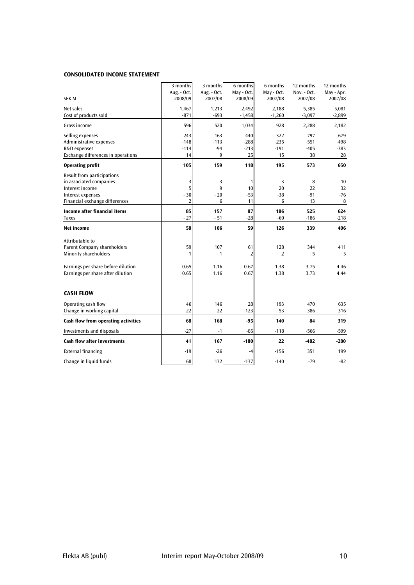#### CONSOLIDATED INCOME STATEMENT

|                                                                                                                                                                  | 3 months<br>Aug. - Oct.           | 3 months<br>Aug. - Oct.        | 6 months<br>May - Oct.           | 6 months<br>May - Oct.           | 12 months<br>Nov. - Oct.         | 12 months<br>May - Apr.          |
|------------------------------------------------------------------------------------------------------------------------------------------------------------------|-----------------------------------|--------------------------------|----------------------------------|----------------------------------|----------------------------------|----------------------------------|
| <b>SEK M</b>                                                                                                                                                     | 2008/09                           | 2007/08                        | 2008/09                          | 2007/08                          | 2007/08                          | 2007/08                          |
| Net sales<br>Cost of products sold                                                                                                                               | 1,467<br>$-871$                   | 1,213<br>$-693$                | 2,492<br>$-1,458$                | 2,188<br>$-1,260$                | 5,385<br>$-3,097$                | 5,081<br>$-2,899$                |
| Gross income                                                                                                                                                     | 596                               | 520                            | 1,034                            | 928                              | 2,288                            | 2,182                            |
| Selling expenses<br>Administrative expenses<br>R&D expenses<br>Exchange differences in operations                                                                | $-243$<br>$-148$<br>$-114$<br>14  | $-163$<br>$-113$<br>$-94$<br>9 | $-440$<br>$-288$<br>$-213$<br>25 | $-322$<br>$-235$<br>$-191$<br>15 | $-797$<br>$-551$<br>$-405$<br>38 | $-679$<br>$-498$<br>$-383$<br>28 |
| <b>Operating profit</b>                                                                                                                                          | 105                               | 159                            | 118                              | 195                              | 573                              | 650                              |
| Result from participations<br>in associated companies<br>Interest income<br>Interest expenses<br>Financial exchange differences                                  | 3<br>5<br>$-30$<br>$\overline{2}$ | 3<br>9<br>$-20$<br>6           | 1<br>10<br>$-53$<br>11           | 3<br>20<br>$-38$<br>6            | 8<br>22<br>$-91$<br>13           | 10<br>32<br>$-76$<br>8           |
| <b>Income after financial items</b><br><b>Taxes</b>                                                                                                              | 85<br>$-27$                       | 157<br>$-51$                   | 87<br>$-28$                      | 186<br>$-60$                     | 525<br>$-186$                    | 624<br>$-218$                    |
| Net income                                                                                                                                                       | 58                                | 106                            | 59                               | 126                              | 339                              | 406                              |
| Attributable to<br><b>Parent Company shareholders</b><br><b>Minority shareholders</b><br>Earnings per share before dilution<br>Earnings per share after dilution | 59<br>$-1$<br>0.65<br>0.65        | 107<br>$-1$<br>1.16<br>1.16    | 61<br>$-2$<br>0.67<br>0.67       | 128<br>$-2$<br>1.38<br>1.38      | 344<br>$-5$<br>3.75<br>3.73      | 411<br>$-5$<br>4.46<br>4.44      |
| <b>CASH FLOW</b>                                                                                                                                                 |                                   |                                |                                  |                                  |                                  |                                  |
| Operating cash flow<br>Change in working capital                                                                                                                 | 46<br>22                          | 146<br>22                      | 28<br>$-123$                     | 193<br>$-53$                     | 470<br>$-386$                    | 635<br>-316                      |
| Cash flow from operating activities                                                                                                                              | 68                                | 168                            | $-95$                            | 140                              | 84                               | 319                              |
| <b>Investments and disposals</b>                                                                                                                                 | $-27$                             | $-1$                           | $-85$                            | $-118$                           | -566                             | -599                             |
| <b>Cash flow after investments</b>                                                                                                                               | 41                                | 167                            | $-180$                           | 22                               | $-482$                           | $-280$                           |
| <b>External financing</b>                                                                                                                                        | $-19$                             | $-26$                          | -4                               | $-156$                           | 351                              | 199                              |
| Change in liquid funds                                                                                                                                           | 68                                | 132                            | $-137$                           | $-140$                           | $-79$                            | $-82$                            |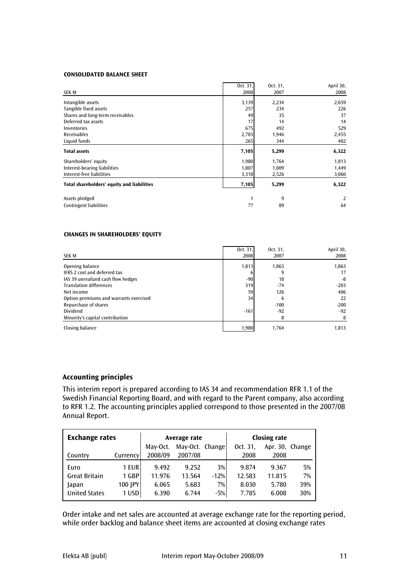#### CONSOLIDATED BALANCE SHEET

| SEK M                                      | Oct. 31.<br>2008 | Oct. 31,<br>2007 | April 30,<br>2008 |
|--------------------------------------------|------------------|------------------|-------------------|
| Intangible assets                          | 3,139            | 2,234            | 2,659             |
| Tangible fixed assets                      | 257              | 234              | 226               |
| Shares and long-term receivables           | 49               | 35               | 37                |
| Deferred tax assets                        | 17               | 14               | 14                |
| Inventories                                | 675              | 492              | 529               |
| <b>Receivables</b>                         | 2,703            | 1,946            | 2,455             |
| Liquid funds                               | 265              | 344              | 402               |
| <b>Total assets</b>                        | 7,105            | 5,299            | 6,322             |
| Shareholders' equity                       | 1,980            | 1,764            | 1,813             |
| Interest-bearing liabilities               | 1,807            | 1,009            | 1,449             |
| Interest-free liabilities                  | 3,318            | 2,526            | 3,060             |
| Total shareholders' equity and liabilities | 7,105            | 5,299            | 6,322             |
| Assets pledged                             | 1                | 9                | 2                 |
| <b>Contingent liabilities</b>              | 77               | 89               | 64                |

#### CHANGES IN SHAREHOLDERS' EQUITY

|                                        | Oct. 31, | Oct. 31, | April 30, |
|----------------------------------------|----------|----------|-----------|
| SEK M                                  | 2008     | 2007     | 2008      |
| Opening balance                        | 1,813    | 1,863    | 1,863     |
| IFRS 2 cost and deferred tax           |          | 9        | 17        |
| IAS 39 unrealized cash flow hedges     | $-90$    | 18       | -8        |
| <b>Translation differences</b>         | 319      | $-74$    | $-203$    |
| Net income                             | 59       | 126      | 406       |
| Option premiums and warrants exercised | 34       | 6        | 22        |
| Repurchase of shares                   |          | $-100$   | $-200$    |
| Dividend                               | $-161$   | $-92$    | $-92$     |
| Minority's capital contribution        |          | 8        | 8         |
| Closing balance                        | 1,980    | 1.764    | 1.813     |

## Accounting principles

This interim report is prepared according to IAS 34 and recommendation RFR 1.1 of the Swedish Financial Reporting Board, and with regard to the Parent company, also according to RFR 1.2. The accounting principles applied correspond to those presented in the 2007/08 Annual Report.

| <b>Exchange rates</b> |          |          | Average rate    |        | <b>Closing rate</b> |                 |     |  |
|-----------------------|----------|----------|-----------------|--------|---------------------|-----------------|-----|--|
|                       |          | May-Oct. | May-Oct. Change |        | Oct. 31,            | Apr. 30, Change |     |  |
| Country               | Currency | 2008/09  | 2007/08         |        | 2008                | 2008            |     |  |
| Euro                  | 1 EURI   | 9.492    | 9.252           | 3%     | 9.874               | 9.367           | 5%  |  |
| <b>Great Britain</b>  | 1 GBP    | 11.976   | 13.564          | $-12%$ | 12.583              | 11.815          | 7%  |  |
| Japan                 | 100 JPY  | 6.065    | 5.683           | 7%     | 8.030               | 5.780           | 39% |  |
| <b>United States</b>  | 1 USD    | 6.390    | 6.744           | $-5%$  | 7.785               | 6.008           | 30% |  |

Order intake and net sales are accounted at average exchange rate for the reporting period, while order backlog and balance sheet items are accounted at closing exchange rates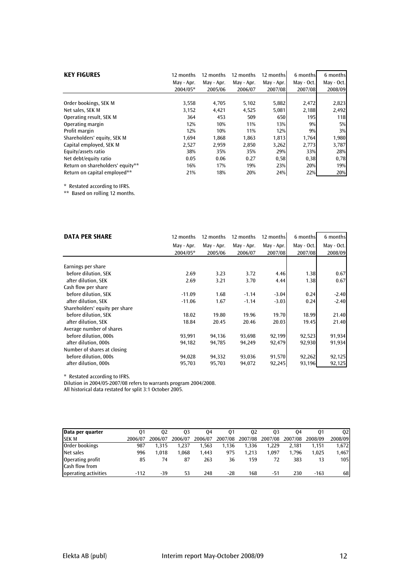| <b>KEY FIGURES</b>               | 12 months<br>12 months |            | 12 months  | 12 months  | 6 months   | 6 months   |
|----------------------------------|------------------------|------------|------------|------------|------------|------------|
|                                  | May - Apr.             | May - Apr. | May - Apr. | May - Apr. | May - Oct. | May - Oct. |
|                                  | 2004/05*               | 2005/06    | 2006/07    | 2007/08    | 2007/08    | 2008/09    |
|                                  |                        |            |            |            |            |            |
| Order bookings, SEK M            | 3,558                  | 4,705      | 5,102      | 5,882      | 2,472      | 2,823      |
| Net sales, SEK M                 | 3,152                  | 4,421      | 4,525      | 5,081      | 2,188      | 2,492      |
| Operating result, SEK M          | 364                    | 453        | 509        | 650        | 195        | <b>118</b> |
| Operating margin                 | 12%                    | 10%        | 11%        | 13%        | 9%         | 5%         |
| Profit margin                    | 12%                    | 10%        | 11%        | 12%        | 9%         | 3%         |
| Shareholders' equity, SEK M      | 1.694                  | 1,868      | 1,863      | 1,813      | 1,764      | 1,980      |
| Capital employed, SEK M          | 2,527                  | 2,959      | 2,850      | 3,262      | 2,773      | 3,787      |
| Equity/assets ratio              | 38%                    | 35%        | 35%        | 29%        | 33%        | 28%        |
| Net debt/equity ratio            | 0.05                   | 0.06       | 0.27       | 0,58       | 0,38       | 0,78       |
| Return on shareholders' equity** | 16%                    | 17%        | 19%        | 23%        | 20%        | 19%        |
| Return on capital employed**     | 21%                    | 18%        | 20%        | 24%        | 22%        | 20%        |

\* Restated according to IFRS.

\*\* Based on rolling 12 months.

| <b>DATA PER SHARE</b>          | 12 months  | 12 months  | 12 months  | 12 months  | 6 months   | 6 months   |
|--------------------------------|------------|------------|------------|------------|------------|------------|
|                                | May - Apr. | May - Apr. | May - Apr. | May - Apr. | May - Oct. | May - Oct. |
|                                | 2004/05*   | 2005/06    | 2006/07    | 2007/08    | 2007/08    | 2008/09    |
|                                |            |            |            |            |            |            |
| Earnings per share             |            |            |            |            |            |            |
| before dilution, SEK           | 2.69       | 3.23       | 3.72       | 4.46       | 1.38       | 0.67       |
| after dilution, SEK            | 2.69       | 3.21       | 3.70       | 4.44       | 1.38       | 0.67       |
| Cash flow per share            |            |            |            |            |            |            |
| before dilution, SEK           | $-11.09$   | 1.68       | $-1.14$    | $-3.04$    | 0.24       | $-2.40$    |
| after dilution, SEK            | $-11.06$   | 1.67       | $-1.14$    | $-3.03$    | 0.24       | $-2.40$    |
| Shareholders' equity per share |            |            |            |            |            |            |
| before dilution, SEK           | 18.02      | 19.80      | 19.96      | 19.70      | 18.99      | 21.40      |
| after dilution, SEK            | 18.84      | 20.45      | 20.46      | 20.03      | 19.45      | 21.40      |
| Average number of shares       |            |            |            |            |            |            |
| before dilution, 000s          | 93,991     | 94,136     | 93,698     | 92,199     | 92,523     | 91,934     |
| after dilution, 000s           | 94,182     | 94,785     | 94,249     | 92,479     | 92,930     | 91,934     |
| Number of shares at closing    |            |            |            |            |            |            |
| before dilution, 000s          | 94,028     | 94,332     | 93,036     | 91,570     | 92,262     | 92,125     |
| after dilution, 000s           | 95,703     | 95,703     | 94,072     | 92,245     | 93,196     | 92,125     |

\* Restated according to IFRS.

Dilution in 2004/05-2007/08 refers to warrants program 2004/2008.

All historical data restated for split 3:1 October 2005.

| Data per quarter     | 01      | 02      | 03      | 04      | 01      | 02      | 03      | 04      | 01      | 02      |
|----------------------|---------|---------|---------|---------|---------|---------|---------|---------|---------|---------|
| <b>SEK M</b>         | 2006/07 | 2006/07 | 2006/07 | 2006/07 | 2007/08 | 2007/08 | 2007/08 | 2007/08 | 2008/09 | 2008/09 |
| Order bookings       | 987     | 1.315   | 1.237   | 1.563   | 1.136   | 1.336   | 1.229   | 2.181   | 1.151   | 1,672   |
| Net sales            | 996     | 1.018   | 1.068   | 1.443   | 975     | 1.213   | 1.097   | 1.796   | 1.025   | 1,467   |
| Operating profit     | 85      | 74      | 87      | 263     | 36      | 159     | 72      | 383     | 13      | 105     |
| Cash flow from       |         |         |         |         |         |         |         |         |         |         |
| operating activities | $-112$  | -39     | 53      | 248     | -28     | 168     | -51     | 230     | $-163$  | 68      |